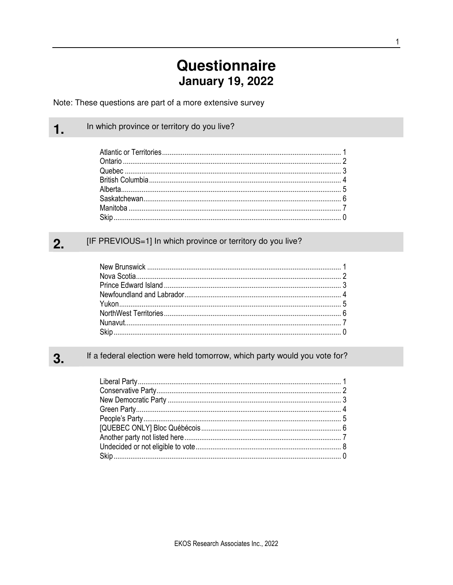# **Questionnaire January 19, 2022**

Note: These questions are part of a more extensive survey

In which province or territory do you live?

 $1.$ 

#### [IF PREVIOUS=1] In which province or territory do you live?  $2.$

#### If a federal election were held tomorrow, which party would you vote for? 3.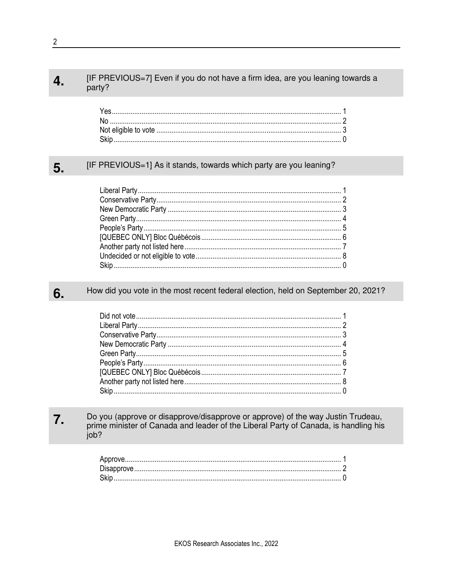#### [IF PREVIOUS=7] Even if you do not have a firm idea, are you leaning towards a 4. party?

#### [IF PREVIOUS=1] As it stands, towards which party are you leaning? 5.

#### How did you vote in the most recent federal election, held on September 20, 2021? 6.

#### 7. Do you (approve or disapprove/disapprove or approve) of the way Justin Trudeau, prime minister of Canada and leader of the Liberal Party of Canada, is handling his job?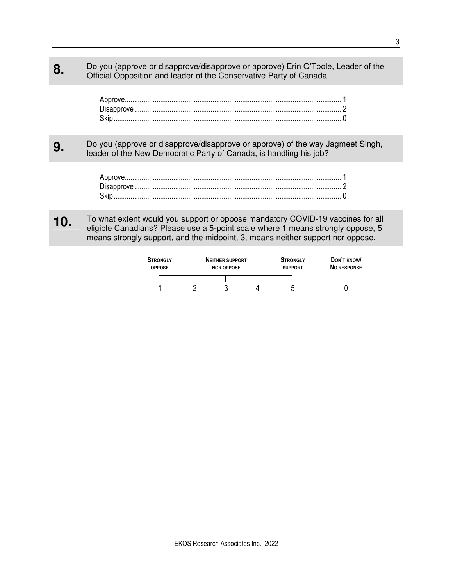# **8.** Do you (approve or disapprove/disapprove or approve) Erin O'Toole, Leader of the Official Opposition and leader of the Conservative Party of Canada

## **9.** Do you (approve or disapprove/disapprove or approve) of the way Jagmeet Singh, leader of the New Democratic Party of Canada, is handling his job?

## **10.** To what extent would you support or oppose mandatory COVID-19 vaccines for all  $\overline{\phantom{a}}$ eligible Canadians? Please use a 5-point scale where 1 means strongly oppose, 5 means strongly support, and the midpoint, 3, means neither support nor oppose.

| <b>STRONGLY</b><br><b>OPPOSE</b> | <b>NEITHER SUPPORT</b><br><b>NOR OPPOSE</b> |   | <b>STRONGLY</b><br><b>SUPPORT</b> | DON'T KNOW<br><b>NO RESPONSE</b> |
|----------------------------------|---------------------------------------------|---|-----------------------------------|----------------------------------|
|                                  |                                             |   |                                   |                                  |
|                                  |                                             | Д |                                   |                                  |